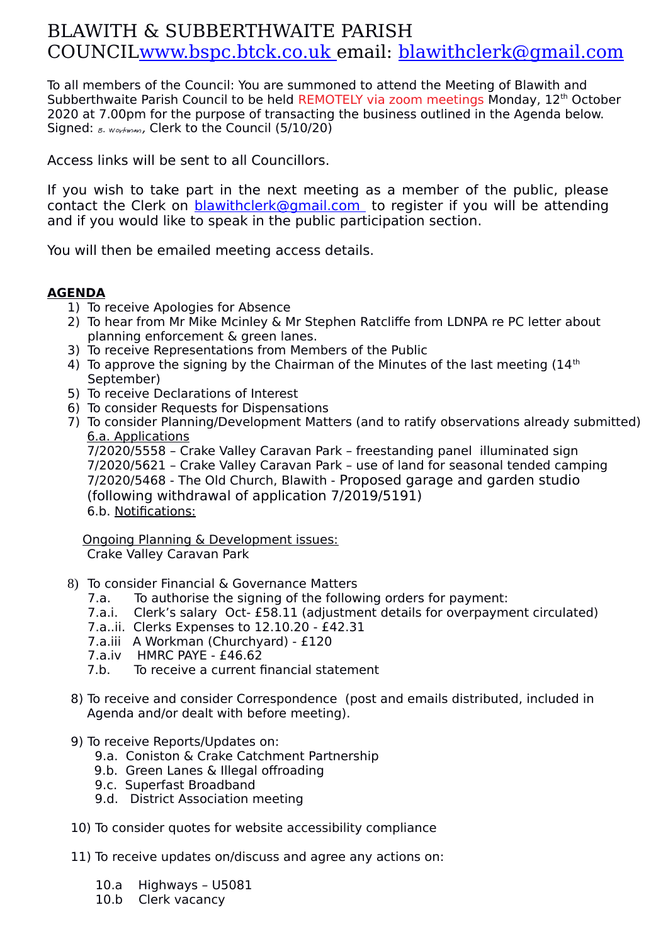## BLAWITH & SUBBERTHWAITE PARISH COUNCI[L www.bspc.btck.co.uk](http://www.bspc.btck.co.uk/) email: [blawithclerk@gmail.com](mailto:blawithclerk@gmail.com)

To all members of the Council: You are summoned to attend the Meeting of Blawith and Subberthwaite Parish Council to be held REMOTELY via zoom meetings Monday, 12<sup>th</sup> October 2020 at 7.00pm for the purpose of transacting the business outlined in the Agenda below. Signed:  $g.$   $w$ orkman, Clerk to the Council (5/10/20)

Access links will be sent to all Councillors.

If you wish to take part in the next meeting as a member of the public, please contact the Clerk on [blawithclerk@gmail.com](mailto:blawithclerk@gmail.com) to register if you will be attending and if you would like to speak in the public participation section.

You will then be emailed meeting access details.

## **AGENDA**

- 1) To receive Apologies for Absence
- 2) To hear from Mr Mike Mcinley & Mr Stephen Ratcliffe from LDNPA re PC letter about planning enforcement & green lanes.
- 3) To receive Representations from Members of the Public
- 4) To approve the signing by the Chairman of the Minutes of the last meeting  $(14<sup>th</sup>)$ September)
- 5) To receive Declarations of Interest
- 6) To consider Requests for Dispensations
- 7) To consider Planning/Development Matters (and to ratify observations already submitted) 6.a. Applications

7/2020/5558 – Crake Valley Caravan Park – freestanding panel illuminated sign 7/2020/5621 – Crake Valley Caravan Park – use of land for seasonal tended camping 7/2020/5468 - The Old Church, Blawith - Proposed garage and garden studio (following withdrawal of application 7/2019/5191) 6.b. Notifications:

 Ongoing Planning & Development issues: Crake Valley Caravan Park

- 8) To consider Financial & Governance Matters
	- 7.a. To authorise the signing of the following orders for payment:
	- 7.a.i. Clerk's salary Oct- £58.11 (adjustment details for overpayment circulated)
	- 7.a..ii. Clerks Expenses to 12.10.20 £42.31
	- 7.a.iii A Workman (Churchyard) £120
	- 7.a.iv HMRC PAYE £46.62
	- 7.b. To receive a current financial statement
- 8) To receive and consider Correspondence (post and emails distributed, included in Agenda and/or dealt with before meeting).
- 9) To receive Reports/Updates on:
	- 9.a. Coniston & Crake Catchment Partnership
	- 9.b. Green Lanes & Illegal offroading
	- 9.c. Superfast Broadband
	- 9.d. District Association meeting
- 10) To consider quotes for website accessibility compliance
- 11) To receive updates on/discuss and agree any actions on:
	- 10.a Highways U5081
	- 10.b Clerk vacancy